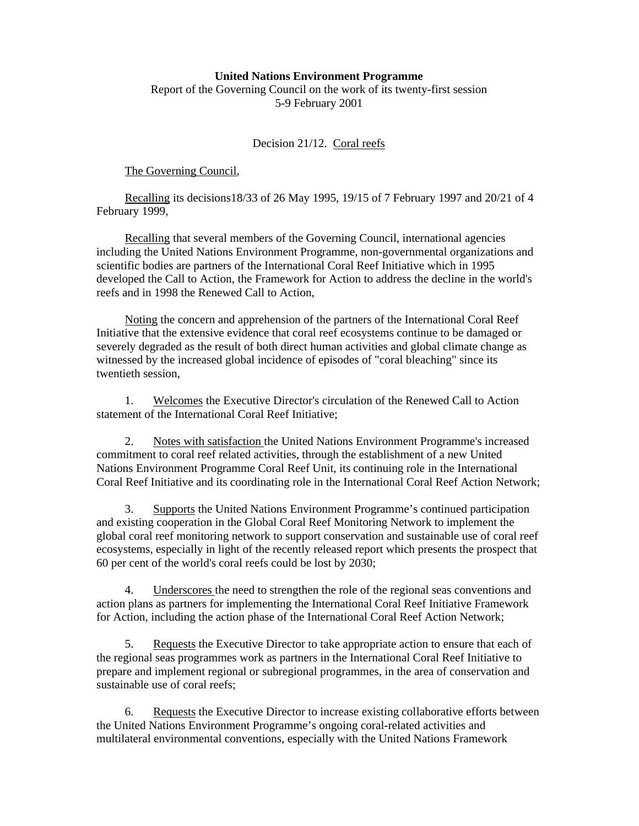## **United Nations Environment Programme**  Report of the Governing Council on the work of its twenty-first session 5-9 February 2001

Decision 21/12. Coral reefs

The Governing Council,

Recalling its decisions18/33 of 26 May 1995, 19/15 of 7 February 1997 and 20/21 of 4 February 1999,

Recalling that several members of the Governing Council, international agencies including the United Nations Environment Programme, non-governmental organizations and scientific bodies are partners of the International Coral Reef Initiative which in 1995 developed the Call to Action, the Framework for Action to address the decline in the world's reefs and in 1998 the Renewed Call to Action,

Noting the concern and apprehension of the partners of the International Coral Reef Initiative that the extensive evidence that coral reef ecosystems continue to be damaged or severely degraded as the result of both direct human activities and global climate change as witnessed by the increased global incidence of episodes of "coral bleaching" since its twentieth session,

1. Welcomes the Executive Director's circulation of the Renewed Call to Action statement of the International Coral Reef Initiative;

2. Notes with satisfaction the United Nations Environment Programme's increased commitment to coral reef related activities, through the establishment of a new United Nations Environment Programme Coral Reef Unit, its continuing role in the International Coral Reef Initiative and its coordinating role in the International Coral Reef Action Network;

3. Supports the United Nations Environment Programme's continued participation and existing cooperation in the Global Coral Reef Monitoring Network to implement the global coral reef monitoring network to support conservation and sustainable use of coral reef ecosystems, especially in light of the recently released report which presents the prospect that 60 per cent of the world's coral reefs could be lost by 2030;

4. Underscores the need to strengthen the role of the regional seas conventions and action plans as partners for implementing the International Coral Reef Initiative Framework for Action, including the action phase of the International Coral Reef Action Network;

5. Requests the Executive Director to take appropriate action to ensure that each of the regional seas programmes work as partners in the International Coral Reef Initiative to prepare and implement regional or subregional programmes, in the area of conservation and sustainable use of coral reefs:

6. Requests the Executive Director to increase existing collaborative efforts between the United Nations Environment Programme's ongoing coral-related activities and multilateral environmental conventions, especially with the United Nations Framework